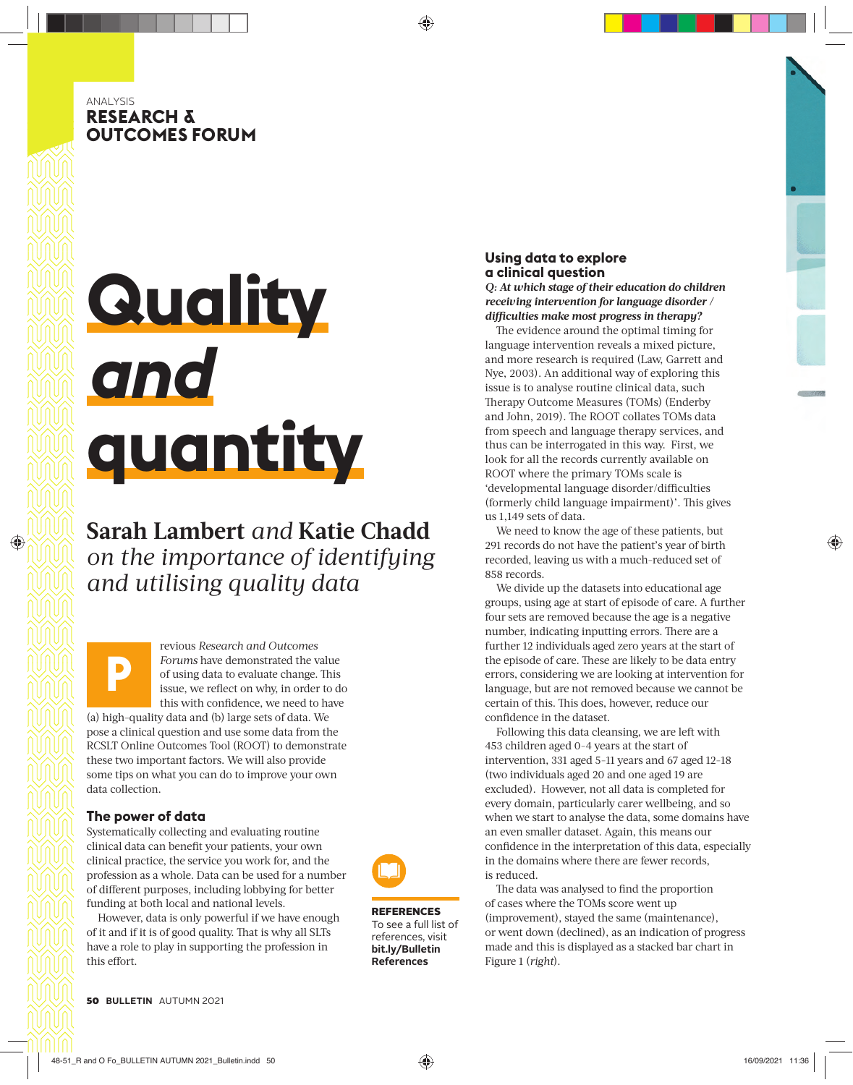## ANALYSIS **RESEARCH & OUTCOMES FORUM**

# **Quality**  *and* **quantity**

## **Sarah Lambert** *and* **Katie Chadd** *on the importance of identifying and utilising quality data*

**P** revious *Research and Outcomes Forums* have demonstrated the value of using data to evaluate change. This issue, we reflect on why, in order to do this with confidence, we need to have (a) high-quality data and (b) large sets of data. We pose a clinical question and use some data from the RCSLT Online Outcomes Tool (ROOT) to demonstrate these two important factors. We will also provide some tips on what you can do to improve your own data collection.

## **The power of data**

Systematically collecting and evaluating routine clinical data can benefit your patients, your own clinical practice, the service you work for, and the profession as a whole. Data can be used for a number of different purposes, including lobbying for better funding at both local and national levels.

However, data is only powerful if we have enough of it and if it is of good quality. That is why all SLTs have a role to play in supporting the profession in this effort.



REFERENCES To see a full list of references, visit **bit.ly/Bulletin References**

## **Using data to explore a clinical question**

*Q: At which stage of their education do children receiving intervention for language disorder / diffi culties make most progress in therapy?*

The evidence around the optimal timing for language intervention reveals a mixed picture, and more research is required (Law, Garrett and Nye, 2003). An additional way of exploring this issue is to analyse routine clinical data, such Therapy Outcome Measures (TOMs) (Enderby and John, 2019). The ROOT collates TOMs data from speech and language therapy services, and thus can be interrogated in this way. First, we look for all the records currently available on ROOT where the primary TOMs scale is 'developmental language disorder/difficulties (formerly child language impairment)'. This gives us 1,149 sets of data.

We need to know the age of these patients, but 291 records do not have the patient's year of birth recorded, leaving us with a much-reduced set of 858 records.

We divide up the datasets into educational age groups, using age at start of episode of care. A further four sets are removed because the age is a negative number, indicating inputting errors. There are a further 12 individuals aged zero years at the start of the episode of care. These are likely to be data entry errors, considering we are looking at intervention for language, but are not removed because we cannot be certain of this. This does, however, reduce our confidence in the dataset.

Following this data cleansing, we are left with 453 children aged 0-4 years at the start of intervention, 331 aged 5-11 years and 67 aged 12-18 (two individuals aged 20 and one aged 19 are excluded). However, not all data is completed for every domain, particularly carer wellbeing, and so when we start to analyse the data, some domains have an even smaller dataset. Again, this means our confidence in the interpretation of this data, especially in the domains where there are fewer records, is reduced.

The data was analysed to find the proportion of cases where the TOMs score went up (improvement), stayed the same (maintenance), or went down (declined), as an indication of progress made and this is displayed as a stacked bar chart in Figure 1 (*right*).